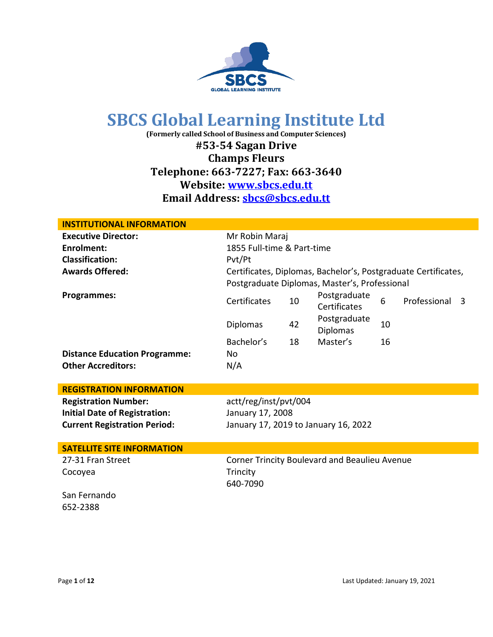

**(Formerly called School of Business and Computer Sciences)**

**#53-54 Sagan Drive**

**Champs Fleurs**

**Telephone: 663-7227; Fax: 663-3640**

### **Website: www.sbcs.edu.tt**

**Email Address: [sbcs@sbcs.edu.tt](mailto:sbcs@sbcstnt.com)**

| <b>INSTITUTIONAL INFORMATION</b>     |                            |    |                                                                                                                 |    |              |   |
|--------------------------------------|----------------------------|----|-----------------------------------------------------------------------------------------------------------------|----|--------------|---|
| <b>Executive Director:</b>           | Mr Robin Maraj             |    |                                                                                                                 |    |              |   |
| <b>Enrolment:</b>                    | 1855 Full-time & Part-time |    |                                                                                                                 |    |              |   |
| <b>Classification:</b>               | Pvt/Pt                     |    |                                                                                                                 |    |              |   |
| <b>Awards Offered:</b>               |                            |    | Certificates, Diplomas, Bachelor's, Postgraduate Certificates,<br>Postgraduate Diplomas, Master's, Professional |    |              |   |
| <b>Programmes:</b>                   | Certificates               | 10 | Postgraduate<br>Certificates                                                                                    | 6  | Professional | 3 |
|                                      | Diplomas                   | 42 | Postgraduate<br><b>Diplomas</b>                                                                                 | 10 |              |   |
|                                      | Bachelor's                 | 18 | Master's                                                                                                        | 16 |              |   |
| <b>Distance Education Programme:</b> | No                         |    |                                                                                                                 |    |              |   |
| <b>Other Accreditors:</b>            | N/A                        |    |                                                                                                                 |    |              |   |
|                                      |                            |    |                                                                                                                 |    |              |   |
| <b>REGISTRATION INFORMATION</b>      |                            |    |                                                                                                                 |    |              |   |
| <b>Registration Number:</b>          | actt/reg/inst/pvt/004      |    |                                                                                                                 |    |              |   |
| <b>Initial Date of Registration:</b> | January 17, 2008           |    |                                                                                                                 |    |              |   |
| <b>Current Registration Period:</b>  |                            |    | January 17, 2019 to January 16, 2022                                                                            |    |              |   |
|                                      |                            |    |                                                                                                                 |    |              |   |
| <b>SATELLITE SITE INFORMATION</b>    |                            |    |                                                                                                                 |    |              |   |
| 27-31 Fran Street                    |                            |    | Corner Trincity Boulevard and Beaulieu Avenue                                                                   |    |              |   |
| Cocoyea                              | Trincity                   |    |                                                                                                                 |    |              |   |
|                                      | 640-7090                   |    |                                                                                                                 |    |              |   |
| San Fernando                         |                            |    |                                                                                                                 |    |              |   |
| 652-2388                             |                            |    |                                                                                                                 |    |              |   |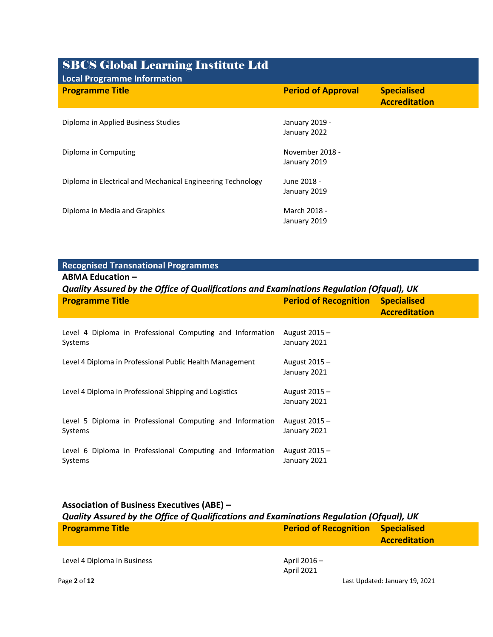## SBCS Global Learning Institute Ltd **Local Programme Information Programme Title All 2008 Construction Construction Construction Period of Approval Specialised Specialised Approval Specialised Approval Specialised Approval Specialised Approval Specialised Approval Specialised Approval Accreditation** Diploma in Applied Business Studies January 2019 -January 2022 Diploma in Computing November 2018 -January 2019 Diploma in Electrical and Mechanical Engineering Technology June 2018 - January 2019 Diploma in Media and Graphics March 2018 -January 2019

#### **Recognised Transnational Programmes**

**ABMA Education –**

|  |  | Quality Assured by the Office of Qualifications and Examinations Regulation (Ofqual), UK |  |
|--|--|------------------------------------------------------------------------------------------|--|
|  |  |                                                                                          |  |

| <b>Programme Title</b>                                               | <b>Period of Recognition</b>  | <b>Specialised</b><br><b>Accreditation</b> |
|----------------------------------------------------------------------|-------------------------------|--------------------------------------------|
| Level 4 Diploma in Professional Computing and Information<br>Systems | August 2015 -<br>January 2021 |                                            |
| Level 4 Diploma in Professional Public Health Management             | August 2015 -<br>January 2021 |                                            |
| Level 4 Diploma in Professional Shipping and Logistics               | August 2015 -<br>January 2021 |                                            |
| Level 5 Diploma in Professional Computing and Information<br>Systems | August 2015 -<br>January 2021 |                                            |
| Level 6 Diploma in Professional Computing and Information<br>Systems | August 2015 -<br>January 2021 |                                            |

#### **Association of Business Executives (ABE) –** *Quality Assured by the Office of Qualifications and Examinations Regulation (Ofqual), UK* **Programme Title Period of Recognition Specialised Accreditation**

Level 4 Diploma in Business April 2016 –

April 2021

Page **2** of **12** Last Updated: January 19, 2021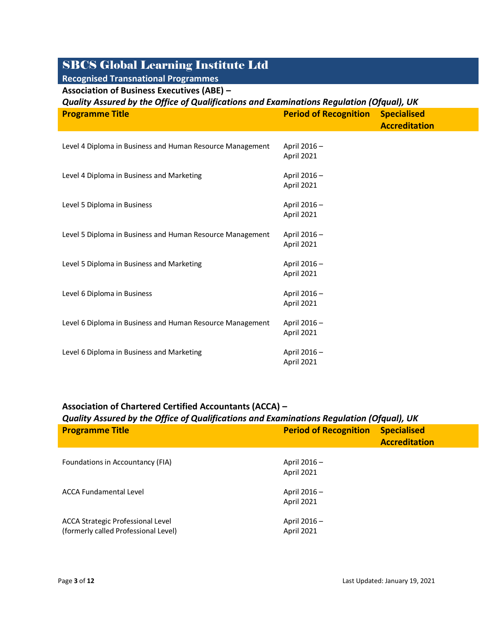| <b>Recognised Transnational Programmes</b>                                               |                                  |                                            |
|------------------------------------------------------------------------------------------|----------------------------------|--------------------------------------------|
| <b>Association of Business Executives (ABE) -</b>                                        |                                  |                                            |
| Quality Assured by the Office of Qualifications and Examinations Regulation (Ofqual), UK |                                  |                                            |
| <b>Programme Title</b>                                                                   | <b>Period of Recognition</b>     | <b>Specialised</b><br><b>Accreditation</b> |
| Level 4 Diploma in Business and Human Resource Management                                | April 2016-<br><b>April 2021</b> |                                            |
| Level 4 Diploma in Business and Marketing                                                | April 2016-<br>April 2021        |                                            |
| Level 5 Diploma in Business                                                              | April 2016-<br>April 2021        |                                            |
| Level 5 Diploma in Business and Human Resource Management                                | April 2016 -<br>April 2021       |                                            |
| Level 5 Diploma in Business and Marketing                                                | April 2016 -<br>April 2021       |                                            |
| Level 6 Diploma in Business                                                              | April 2016 -<br>April 2021       |                                            |
| Level 6 Diploma in Business and Human Resource Management                                | April 2016-<br><b>April 2021</b> |                                            |
| Level 6 Diploma in Business and Marketing                                                | April 2016-<br><b>April 2021</b> |                                            |

#### **Association of Chartered Certified Accountants (ACCA) –**

| Quality Assured by the Office of Qualifications and Examinations Regulation (Ofqual), UK |                                   |                                            |  |
|------------------------------------------------------------------------------------------|-----------------------------------|--------------------------------------------|--|
| <b>Programme Title</b>                                                                   | <b>Period of Recognition</b>      | <b>Specialised</b><br><b>Accreditation</b> |  |
| Foundations in Accountancy (FIA)                                                         | April 2016 -<br><b>April 2021</b> |                                            |  |
| <b>ACCA Fundamental Level</b>                                                            | April 2016 –<br><b>April 2021</b> |                                            |  |
| ACCA Strategic Professional Level<br>(formerly called Professional Level)                | April 2016 -<br>April 2021        |                                            |  |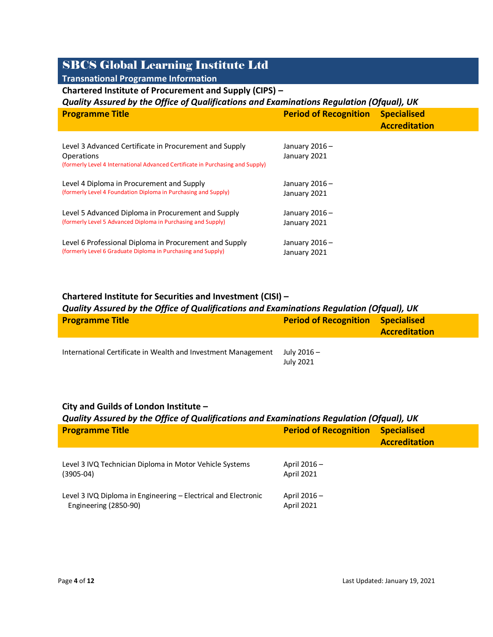**Transnational Programme Information**

#### **Chartered Institute of Procurement and Supply (CIPS) –**

#### *Quality Assured by the Office of Qualifications and Examinations Regulation (Ofqual), UK*

| <b>Programme Title</b>                                                                                                                                 | <b>Period of Recognition</b>  | <b>Specialised</b><br><b>Accreditation</b> |
|--------------------------------------------------------------------------------------------------------------------------------------------------------|-------------------------------|--------------------------------------------|
| Level 3 Advanced Certificate in Procurement and Supply<br>Operations<br>(formerly Level 4 International Advanced Certificate in Purchasing and Supply) | January 2016-<br>January 2021 |                                            |
| Level 4 Diploma in Procurement and Supply<br>(formerly Level 4 Foundation Diploma in Purchasing and Supply)                                            | January 2016-<br>January 2021 |                                            |
| Level 5 Advanced Diploma in Procurement and Supply<br>(formerly Level 5 Advanced Diploma in Purchasing and Supply)                                     | January 2016-<br>January 2021 |                                            |
| Level 6 Professional Diploma in Procurement and Supply<br>(formerly Level 6 Graduate Diploma in Purchasing and Supply)                                 | January 2016-<br>January 2021 |                                            |

#### **Chartered Institute for Securities and Investment (CISI) –**

#### *Quality Assured by the Office of Qualifications and Examinations Regulation (Ofqual), UK*

| <b>Programme Title</b>                                        | <b>Period of Recognition</b> | <b>Specialised</b><br><b>Accreditation</b> |
|---------------------------------------------------------------|------------------------------|--------------------------------------------|
| International Certificate in Wealth and Investment Management | July 2016 -<br>July 2021     |                                            |

#### **City and Guilds of London Institute –**

| Quality Assured by the Office of Qualifications and Examinations Regulation (Ofqual), UK |                                   |                                            |  |
|------------------------------------------------------------------------------------------|-----------------------------------|--------------------------------------------|--|
| <b>Programme Title</b>                                                                   | <b>Period of Recognition</b>      | <b>Specialised</b><br><b>Accreditation</b> |  |
| Level 3 IVQ Technician Diploma in Motor Vehicle Systems<br>$(3905-04)$                   | April 2016 –<br><b>April 2021</b> |                                            |  |
| Level 3 IVQ Diploma in Engineering – Electrical and Electronic<br>Engineering (2850-90)  | April 2016 –<br><b>April 2021</b> |                                            |  |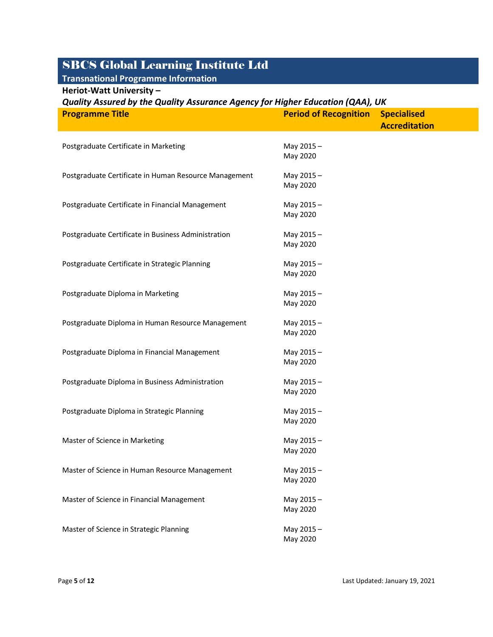### **Transnational Programme Information**

**Heriot-Watt University –**

| Quality Assured by the Quality Assurance Agency for Higher Education (QAA), UK |                              |                      |  |
|--------------------------------------------------------------------------------|------------------------------|----------------------|--|
| <b>Programme Title</b>                                                         | <b>Period of Recognition</b> | <b>Specialised</b>   |  |
|                                                                                |                              | <b>Accreditation</b> |  |
|                                                                                |                              |                      |  |
| Postgraduate Certificate in Marketing                                          | May 2015-                    |                      |  |
|                                                                                | May 2020                     |                      |  |
| Postgraduate Certificate in Human Resource Management                          | May 2015-                    |                      |  |
|                                                                                | May 2020                     |                      |  |
|                                                                                |                              |                      |  |
| Postgraduate Certificate in Financial Management                               | May 2015-                    |                      |  |
|                                                                                | May 2020                     |                      |  |
| Postgraduate Certificate in Business Administration                            | May 2015-                    |                      |  |
|                                                                                | May 2020                     |                      |  |
|                                                                                |                              |                      |  |
| Postgraduate Certificate in Strategic Planning                                 | May 2015-                    |                      |  |
|                                                                                | May 2020                     |                      |  |
| Postgraduate Diploma in Marketing                                              |                              |                      |  |
|                                                                                | May 2015-<br>May 2020        |                      |  |
|                                                                                |                              |                      |  |
| Postgraduate Diploma in Human Resource Management                              | May 2015-                    |                      |  |
|                                                                                | May 2020                     |                      |  |
|                                                                                |                              |                      |  |
| Postgraduate Diploma in Financial Management                                   | May 2015-<br>May 2020        |                      |  |
|                                                                                |                              |                      |  |
| Postgraduate Diploma in Business Administration                                | May 2015-                    |                      |  |
|                                                                                | May 2020                     |                      |  |
|                                                                                |                              |                      |  |
| Postgraduate Diploma in Strategic Planning                                     | May 2015-<br>May 2020        |                      |  |
|                                                                                |                              |                      |  |
| Master of Science in Marketing                                                 | May 2015-                    |                      |  |
|                                                                                | May 2020                     |                      |  |
|                                                                                |                              |                      |  |
| Master of Science in Human Resource Management                                 | May 2015-<br>May 2020        |                      |  |
|                                                                                |                              |                      |  |
| Master of Science in Financial Management                                      | May 2015-                    |                      |  |
|                                                                                | May 2020                     |                      |  |
|                                                                                |                              |                      |  |
| Master of Science in Strategic Planning                                        | May 2015-<br>May 2020        |                      |  |
|                                                                                |                              |                      |  |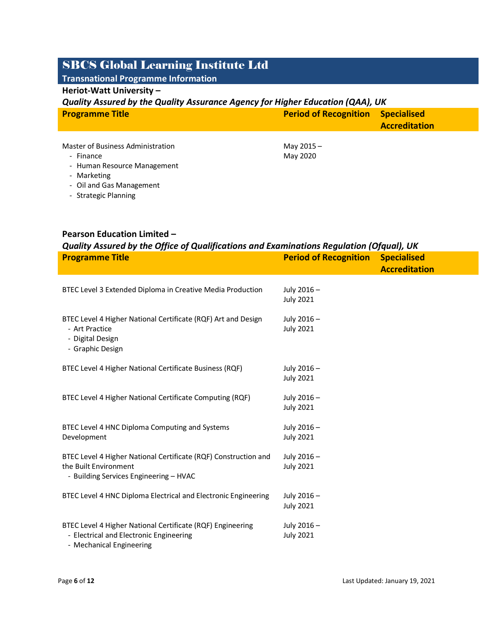### **Transnational Programme Information**

#### **Heriot-Watt University –**

#### *Quality Assured by the Quality Assurance Agency for Higher Education (QAA), UK*

| <b>Programme Title</b> | <b>Period of Recognition Specialised</b> |                      |
|------------------------|------------------------------------------|----------------------|
|                        |                                          | <b>Accreditation</b> |
|                        |                                          |                      |

| Master of Business Administration | May 2015 - |
|-----------------------------------|------------|
| - Finance                         | May 2020   |
| - Human Resource Management       |            |

- Marketing
- Oil and Gas Management
- Strategic Planning

#### **Pearson Education Limited –**

| Quality Assured by the Office of Qualifications and Examinations Regulation (Ofqual), UK              |                                 |                      |  |
|-------------------------------------------------------------------------------------------------------|---------------------------------|----------------------|--|
| <b>Programme Title</b>                                                                                | <b>Period of Recognition</b>    | <b>Specialised</b>   |  |
|                                                                                                       |                                 | <b>Accreditation</b> |  |
|                                                                                                       |                                 |                      |  |
| BTEC Level 3 Extended Diploma in Creative Media Production                                            | July 2016 -                     |                      |  |
|                                                                                                       | <b>July 2021</b>                |                      |  |
| BTEC Level 4 Higher National Certificate (RQF) Art and Design                                         | July 2016 -                     |                      |  |
| - Art Practice                                                                                        | <b>July 2021</b>                |                      |  |
| - Digital Design                                                                                      |                                 |                      |  |
| - Graphic Design                                                                                      |                                 |                      |  |
|                                                                                                       |                                 |                      |  |
| BTEC Level 4 Higher National Certificate Business (RQF)                                               | July 2016 -<br><b>July 2021</b> |                      |  |
|                                                                                                       |                                 |                      |  |
| BTEC Level 4 Higher National Certificate Computing (RQF)                                              | July 2016-                      |                      |  |
|                                                                                                       | <b>July 2021</b>                |                      |  |
| BTEC Level 4 HNC Diploma Computing and Systems                                                        | July 2016 -                     |                      |  |
| Development                                                                                           | <b>July 2021</b>                |                      |  |
|                                                                                                       |                                 |                      |  |
| BTEC Level 4 Higher National Certificate (RQF) Construction and                                       | July 2016 -                     |                      |  |
| the Built Environment                                                                                 | <b>July 2021</b>                |                      |  |
| - Building Services Engineering - HVAC                                                                |                                 |                      |  |
| BTEC Level 4 HNC Diploma Electrical and Electronic Engineering                                        | July 2016-                      |                      |  |
|                                                                                                       | <b>July 2021</b>                |                      |  |
|                                                                                                       |                                 |                      |  |
|                                                                                                       |                                 |                      |  |
| BTEC Level 4 Higher National Certificate (RQF) Engineering<br>- Electrical and Electronic Engineering | July 2016-<br><b>July 2021</b>  |                      |  |

- Mechanical Engineering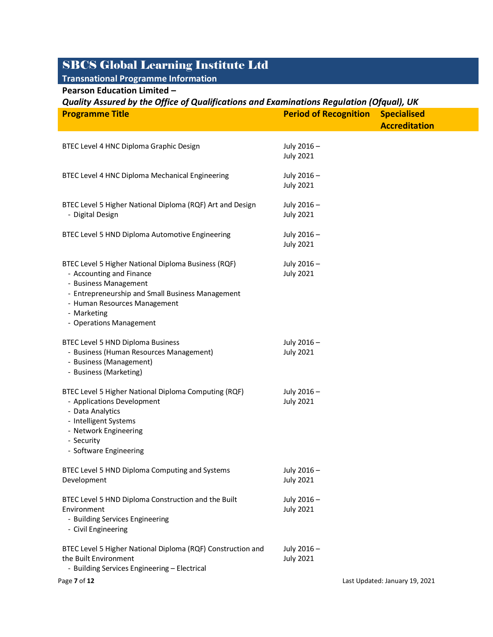### **Transnational Programme Information**

**Pearson Education Limited –**

| Quality Assured by the Office of Qualifications and Examinations Regulation (Ofqual), UK                                                                                                                                               |                                 |                                |
|----------------------------------------------------------------------------------------------------------------------------------------------------------------------------------------------------------------------------------------|---------------------------------|--------------------------------|
| <b>Programme Title</b>                                                                                                                                                                                                                 | <b>Period of Recognition</b>    | <b>Specialised</b>             |
|                                                                                                                                                                                                                                        |                                 | <b>Accreditation</b>           |
| BTEC Level 4 HNC Diploma Graphic Design                                                                                                                                                                                                | July 2016-<br><b>July 2021</b>  |                                |
| BTEC Level 4 HNC Diploma Mechanical Engineering                                                                                                                                                                                        | July 2016 -<br><b>July 2021</b> |                                |
| BTEC Level 5 Higher National Diploma (RQF) Art and Design<br>- Digital Design                                                                                                                                                          | July 2016 -<br><b>July 2021</b> |                                |
| BTEC Level 5 HND Diploma Automotive Engineering                                                                                                                                                                                        | July 2016 -<br><b>July 2021</b> |                                |
| BTEC Level 5 Higher National Diploma Business (RQF)<br>- Accounting and Finance<br>- Business Management<br>- Entrepreneurship and Small Business Management<br>- Human Resources Management<br>- Marketing<br>- Operations Management | July 2016 -<br><b>July 2021</b> |                                |
| <b>BTEC Level 5 HND Diploma Business</b><br>- Business (Human Resources Management)<br>- Business (Management)<br>- Business (Marketing)                                                                                               | July 2016 -<br><b>July 2021</b> |                                |
| BTEC Level 5 Higher National Diploma Computing (RQF)<br>- Applications Development<br>- Data Analytics<br>- Intelligent Systems<br>- Network Engineering<br>- Security<br>- Software Engineering                                       | July 2016 -<br><b>July 2021</b> |                                |
| BTEC Level 5 HND Diploma Computing and Systems<br>Development                                                                                                                                                                          | July 2016 -<br><b>July 2021</b> |                                |
| BTEC Level 5 HND Diploma Construction and the Built<br>Environment<br>- Building Services Engineering<br>- Civil Engineering                                                                                                           | July 2016 -<br><b>July 2021</b> |                                |
| BTEC Level 5 Higher National Diploma (RQF) Construction and<br>the Built Environment<br>- Building Services Engineering - Electrical                                                                                                   | July 2016 -<br><b>July 2021</b> |                                |
| Page 7 of 12                                                                                                                                                                                                                           |                                 | Last Updated: January 19, 2021 |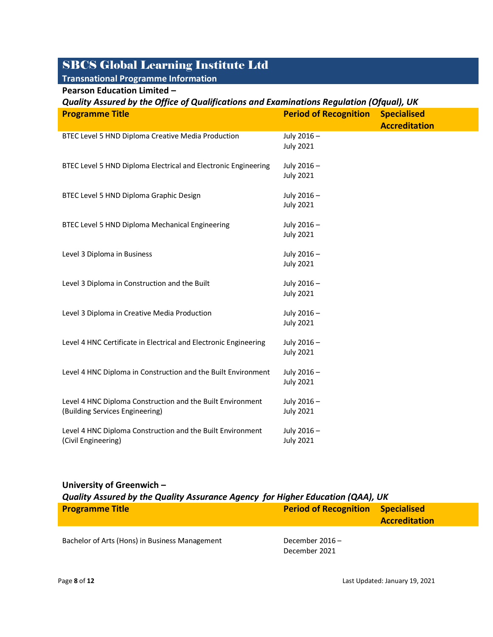### **Transnational Programme Information**

#### **Pearson Education Limited –**

| Quality Assured by the Office of Qualifications and Examinations Regulation (Ofqual), UK      |                                |                      |
|-----------------------------------------------------------------------------------------------|--------------------------------|----------------------|
| <b>Programme Title</b>                                                                        | <b>Period of Recognition</b>   | <b>Specialised</b>   |
|                                                                                               |                                | <b>Accreditation</b> |
| BTEC Level 5 HND Diploma Creative Media Production                                            | July 2016-                     |                      |
|                                                                                               | <b>July 2021</b>               |                      |
| BTEC Level 5 HND Diploma Electrical and Electronic Engineering                                | July 2016-                     |                      |
|                                                                                               | <b>July 2021</b>               |                      |
|                                                                                               |                                |                      |
| BTEC Level 5 HND Diploma Graphic Design                                                       | July 2016-                     |                      |
|                                                                                               | <b>July 2021</b>               |                      |
| BTEC Level 5 HND Diploma Mechanical Engineering                                               | July 2016-                     |                      |
|                                                                                               | <b>July 2021</b>               |                      |
|                                                                                               |                                |                      |
| Level 3 Diploma in Business                                                                   | July 2016-                     |                      |
|                                                                                               | <b>July 2021</b>               |                      |
| Level 3 Diploma in Construction and the Built                                                 | July 2016-                     |                      |
|                                                                                               | <b>July 2021</b>               |                      |
|                                                                                               |                                |                      |
| Level 3 Diploma in Creative Media Production                                                  | July 2016-                     |                      |
|                                                                                               | <b>July 2021</b>               |                      |
| Level 4 HNC Certificate in Electrical and Electronic Engineering                              | July 2016-                     |                      |
|                                                                                               | <b>July 2021</b>               |                      |
|                                                                                               |                                |                      |
| Level 4 HNC Diploma in Construction and the Built Environment                                 | July 2016-                     |                      |
|                                                                                               | <b>July 2021</b>               |                      |
| Level 4 HNC Diploma Construction and the Built Environment<br>(Building Services Engineering) | July 2016-                     |                      |
|                                                                                               | <b>July 2021</b>               |                      |
|                                                                                               |                                |                      |
| Level 4 HNC Diploma Construction and the Built Environment<br>(Civil Engineering)             | July 2016-<br><b>July 2021</b> |                      |
|                                                                                               |                                |                      |

# **University of Greenwich –** *Quality Assured by the Quality Assurance Agency for Higher Education (QAA), UK* **Programme Title Period of Recognition Specialised Accreditation**

Bachelor of Arts (Hons) in Business Management December 2016 -

December 2021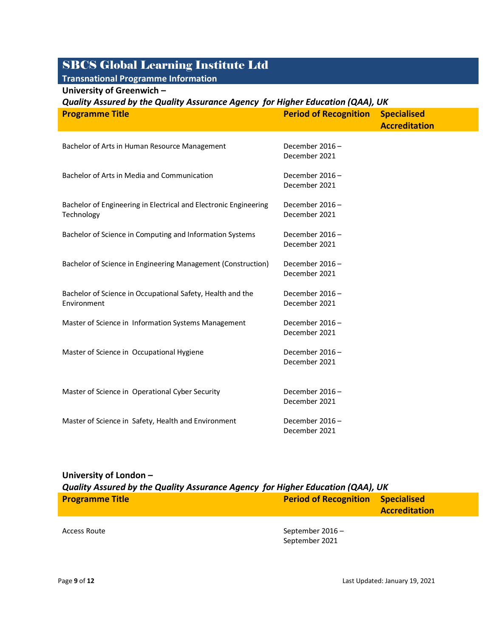### **Transnational Programme Information**

#### **University of Greenwich –**

| Quality Assured by the Quality Assurance Agency for Higher Education (QAA), UK |                                 |                      |
|--------------------------------------------------------------------------------|---------------------------------|----------------------|
| <b>Programme Title</b>                                                         | <b>Period of Recognition</b>    | <b>Specialised</b>   |
|                                                                                |                                 | <b>Accreditation</b> |
|                                                                                |                                 |                      |
| Bachelor of Arts in Human Resource Management                                  | December 2016-<br>December 2021 |                      |
|                                                                                |                                 |                      |
| Bachelor of Arts in Media and Communication                                    | December 2016-                  |                      |
|                                                                                | December 2021                   |                      |
|                                                                                |                                 |                      |
| Bachelor of Engineering in Electrical and Electronic Engineering               | December 2016-                  |                      |
| Technology                                                                     | December 2021                   |                      |
| Bachelor of Science in Computing and Information Systems                       | December 2016-                  |                      |
|                                                                                | December 2021                   |                      |
|                                                                                |                                 |                      |
| Bachelor of Science in Engineering Management (Construction)                   | December 2016-                  |                      |
|                                                                                | December 2021                   |                      |
| Bachelor of Science in Occupational Safety, Health and the                     | December 2016-                  |                      |
| Environment                                                                    | December 2021                   |                      |
|                                                                                |                                 |                      |
| Master of Science in Information Systems Management                            | December 2016-                  |                      |
|                                                                                | December 2021                   |                      |
| Master of Science in Occupational Hygiene                                      | December 2016-                  |                      |
|                                                                                | December 2021                   |                      |
|                                                                                |                                 |                      |
|                                                                                | December 2016-                  |                      |
| Master of Science in Operational Cyber Security                                | December 2021                   |                      |
|                                                                                |                                 |                      |
| Master of Science in Safety, Health and Environment                            | December 2016-                  |                      |
|                                                                                | December 2021                   |                      |

### **University of London –** *Quality Assured by the Quality Assurance Agency for Higher Education (QAA), UK* **Programme Title Period of Recognition Accreditation**

Access Route **September 2016** – September 2021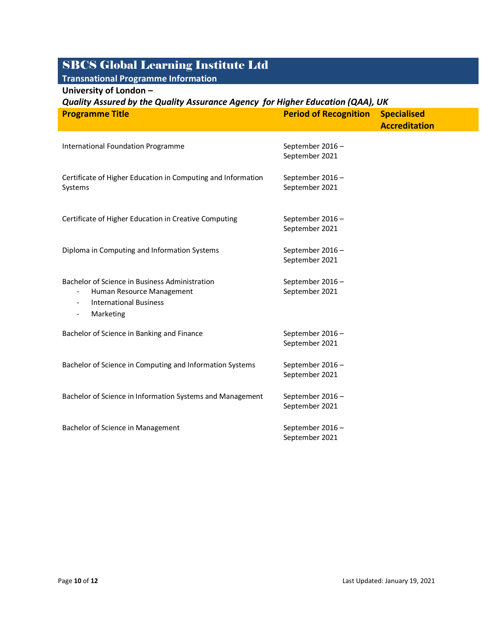#### **Transnational Programme Information University of London –**

| Quality Assured by the Quality Assurance Agency for Higher Education (QAA), UK                                                                                                                                    |                                    |                                            |
|-------------------------------------------------------------------------------------------------------------------------------------------------------------------------------------------------------------------|------------------------------------|--------------------------------------------|
| <b>Programme Title</b>                                                                                                                                                                                            | <b>Period of Recognition</b>       | <b>Specialised</b><br><b>Accreditation</b> |
| <b>International Foundation Programme</b>                                                                                                                                                                         | September 2016-<br>September 2021  |                                            |
| Certificate of Higher Education in Computing and Information<br>Systems                                                                                                                                           | September 2016-<br>September 2021  |                                            |
| Certificate of Higher Education in Creative Computing                                                                                                                                                             | September 2016-<br>September 2021  |                                            |
| Diploma in Computing and Information Systems                                                                                                                                                                      | September 2016 -<br>September 2021 |                                            |
| Bachelor of Science in Business Administration<br>Human Resource Management<br>$\overline{\phantom{a}}$<br><b>International Business</b><br>$\overline{\phantom{a}}$<br>Marketing<br>$\qquad \qquad \blacksquare$ | September 2016-<br>September 2021  |                                            |
| Bachelor of Science in Banking and Finance                                                                                                                                                                        | September 2016 -<br>September 2021 |                                            |
| Bachelor of Science in Computing and Information Systems                                                                                                                                                          | September 2016-<br>September 2021  |                                            |
| Bachelor of Science in Information Systems and Management                                                                                                                                                         | September 2016-<br>September 2021  |                                            |
| Bachelor of Science in Management                                                                                                                                                                                 | September 2016 -<br>September 2021 |                                            |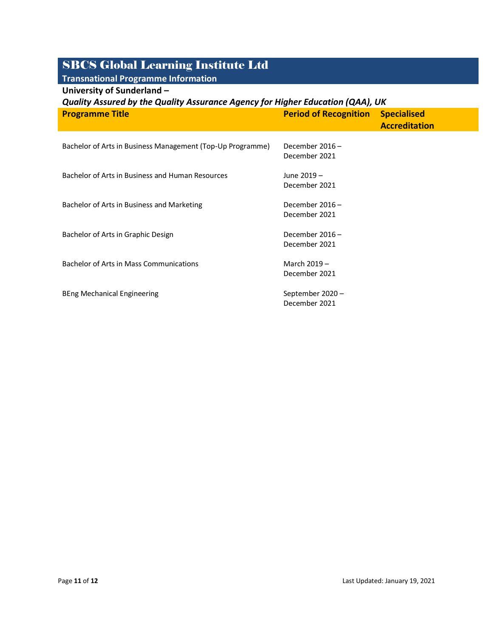### **Transnational Programme Information**

| University of Sunderland - |  |
|----------------------------|--|
|----------------------------|--|

| Quality Assured by the Quality Assurance Agency for Higher Education (QAA), UK |                                   |                                            |
|--------------------------------------------------------------------------------|-----------------------------------|--------------------------------------------|
| <b>Programme Title</b>                                                         | <b>Period of Recognition</b>      | <b>Specialised</b><br><b>Accreditation</b> |
| Bachelor of Arts in Business Management (Top-Up Programme)                     | December 2016-<br>December 2021   |                                            |
| Bachelor of Arts in Business and Human Resources                               | June 2019 -<br>December 2021      |                                            |
| Bachelor of Arts in Business and Marketing                                     | December 2016-<br>December 2021   |                                            |
| Bachelor of Arts in Graphic Design                                             | December 2016-<br>December 2021   |                                            |
| Bachelor of Arts in Mass Communications                                        | March 2019 -<br>December 2021     |                                            |
| BEng Mechanical Engineering                                                    | September 2020 -<br>December 2021 |                                            |